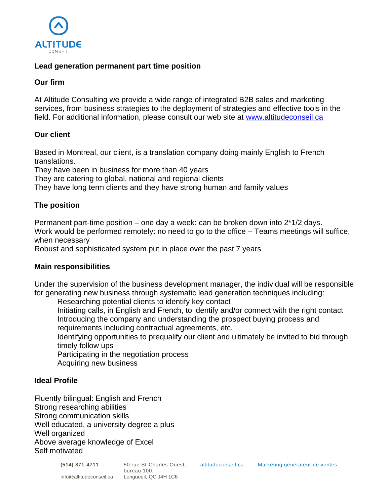

### **Lead generation permanent part time position**

### **Our firm**

At Altitude Consulting we provide a wide range of integrated B2B sales and marketing services, from business strategies to the deployment of strategies and effective tools in the field. For additional information, please consult our web site at [www.altitudeconseil.ca](http://www.altitudeconseil.ca/)

# **Our client**

Based in Montreal, our client, is a translation company doing mainly English to French translations.

They have been in business for more than 40 years

They are catering to global, national and regional clients

They have long term clients and they have strong human and family values

# **The position**

Permanent part-time position – one day a week: can be broken down into  $2*1/2$  days. Work would be performed remotely: no need to go to the office – Teams meetings will suffice, when necessary

Robust and sophisticated system put in place over the past 7 years

#### **Main responsibilities**

Under the supervision of the business development manager, the individual will be responsible for generating new business through systematic lead generation techniques including:

Researching potential clients to identify key contact

Initiating calls, in English and French, to identify and/or connect with the right contact Introducing the company and understanding the prospect buying process and requirements including contractual agreements, etc.

Identifying opportunities to prequalify our client and ultimately be invited to bid through timely follow ups

Participating in the negotiation process Acquiring new business

#### **Ideal Profile**

Fluently bilingual: English and French Strong researching abilities Strong communication skills Well educated, a university degree a plus Well organized Above average knowledge of Excel Self motivated